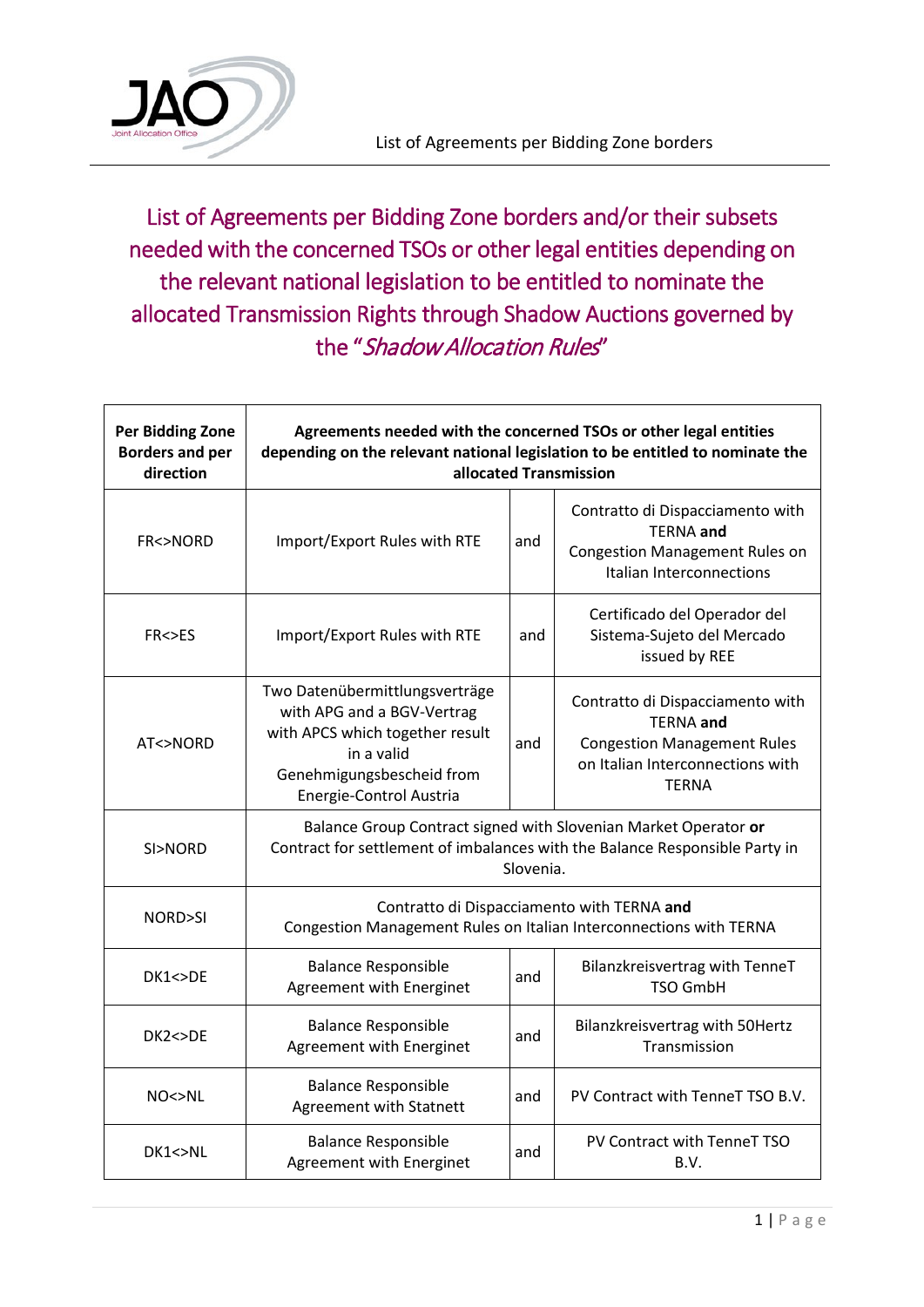

List of Agreements per Bidding Zone borders and/or their subsets needed with the concerned TSOs or other legal entities depending on the relevant national legislation to be entitled to nominate the allocated Transmission Rights through Shadow Auctions governed by the "Shadow Allocation Rules"

| <b>Per Bidding Zone</b><br><b>Borders and per</b><br>direction | Agreements needed with the concerned TSOs or other legal entities<br>depending on the relevant national legislation to be entitled to nominate the<br>allocated Transmission |     |                                                                                                                                                |  |
|----------------------------------------------------------------|------------------------------------------------------------------------------------------------------------------------------------------------------------------------------|-----|------------------------------------------------------------------------------------------------------------------------------------------------|--|
| <b>FR&lt;&gt;NORD</b>                                          | Import/Export Rules with RTE                                                                                                                                                 | and | Contratto di Dispacciamento with<br><b>TERNA</b> and<br><b>Congestion Management Rules on</b><br>Italian Interconnections                      |  |
| <b>FR&lt;&gt;ES</b>                                            | Import/Export Rules with RTE                                                                                                                                                 | and | Certificado del Operador del<br>Sistema-Sujeto del Mercado<br>issued by REE                                                                    |  |
| AT<>NORD                                                       | Two Datenübermittlungsverträge<br>with APG and a BGV-Vertrag<br>with APCS which together result<br>in a valid<br>Genehmigungsbescheid from<br>Energie-Control Austria        | and | Contratto di Dispacciamento with<br><b>TERNA</b> and<br><b>Congestion Management Rules</b><br>on Italian Interconnections with<br><b>TERNA</b> |  |
| SI>NORD                                                        | Balance Group Contract signed with Slovenian Market Operator or<br>Contract for settlement of imbalances with the Balance Responsible Party in<br>Slovenia.                  |     |                                                                                                                                                |  |
| NORD>SI                                                        | Contratto di Dispacciamento with TERNA and<br>Congestion Management Rules on Italian Interconnections with TERNA                                                             |     |                                                                                                                                                |  |
| DK1 < >DE                                                      | <b>Balance Responsible</b><br>Agreement with Energinet                                                                                                                       | and | Bilanzkreisvertrag with TenneT<br><b>TSO GmbH</b>                                                                                              |  |
| DK2 < DE                                                       | <b>Balance Responsible</b><br>Agreement with Energinet                                                                                                                       | and | Bilanzkreisvertrag with 50Hertz<br>Transmission                                                                                                |  |
| NO<>>NL                                                        | <b>Balance Responsible</b><br>Agreement with Statnett                                                                                                                        | and | PV Contract with TenneT TSO B.V.                                                                                                               |  |
| DK1<>NL                                                        | <b>Balance Responsible</b><br>Agreement with Energinet                                                                                                                       | and | PV Contract with TenneT TSO<br>B.V.                                                                                                            |  |